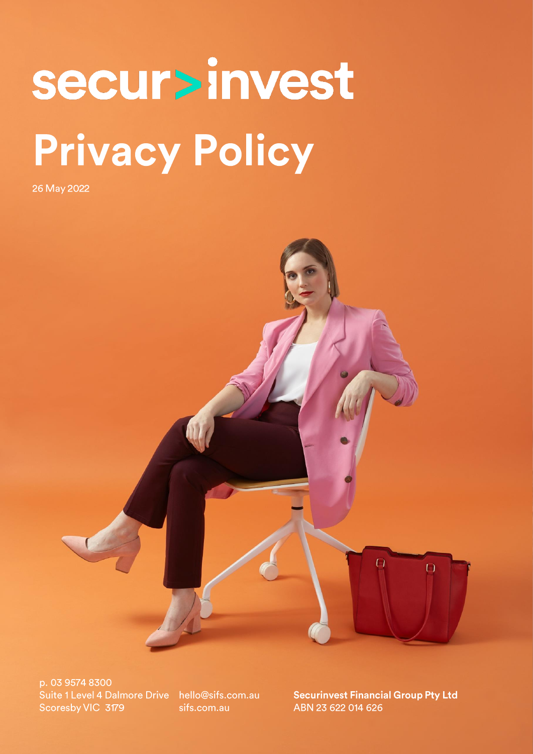# secur>invest Privacy Policy

26 May 2022



p. 03 9574 8300 Suite 1 Level 4 Dalmore Drive hello@sifs.com.au Scoresby VIC 3179

sifs.com.au

**Securinvest Financial Group Pty Ltd** ABN 23 622 014 626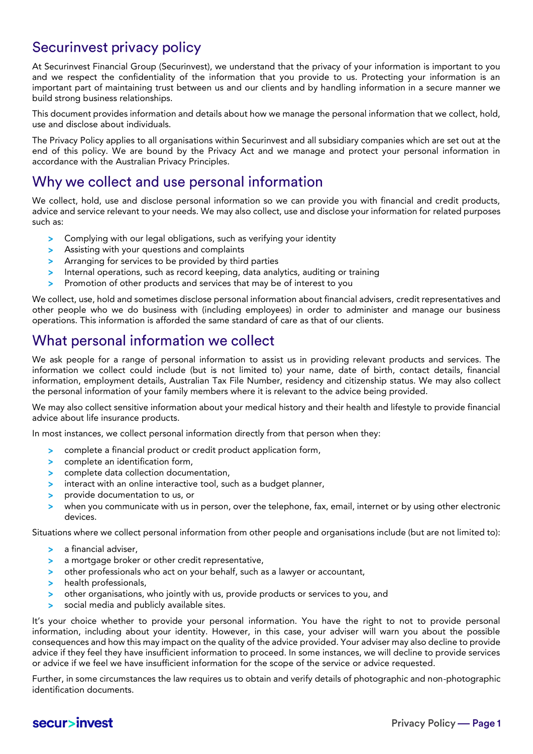# **Securinvest privacy policy**

At Securinvest Financial Group (Securinvest), we understand that the privacy of your information is important to you<br>and we respect the confidentiality of the information that you provide to us. Protecting your information important part of maintaining trust between us and our clients and by handling information in a secure manner we build strong business relationships.

This document provides information and details about how we manage the personal information that we collect, hold, use and disclose about individuals. use and disclose about individuals.

The Privacy Policy applies to all organisations within Securinvest and all subsidiary companies which are set out at the end of this policy. We are bound by the Privacy Act and we manage and protect your personal information in accordance with the Australian Privacy Principles.

## Why we collect and use personal information

which and service relevant to your needs. We may also collect, use and disclose your information for related purposes advice and service  $\mathcal{L}$  is the matrix of relation for relation for relation for relation for relation for relation for relation for relation for relation for relation for relation for relation for relation for relatio

- Complying with our legal obligations, such as verifying your identity
- $\geq$
- Arranging for services to be provided by third parties  $\overline{\phantom{0}}$
- Internal operations, such as record keeping, data analytics, auditing or training  $\overline{\phantom{a}}$
- Promotion of other products and services that may be of interest to you  $\overline{\phantom{a}}$

We collect, use, hold and sometimes disclose personal information about financial advisers, credit representatives and other people who we do business with (including employees) in order to administer and manage our business  $\overline{\phantom{a}}$  one do business with  $\overline{\phantom{a}}$  including the came standard of care as that of our clients operations. This information is afforded the same standard of care as that of our clients.

#### What personal information we collect

We ask people for a range of personal information to assist us in providing relevant products and services. The<br>information we collect could include (but is not limited to) your name, date of birth, contact details, financ information, employment details, Australian Tax File Number, residency and citizenship status. We may also collect the personal information of your family members where it is relevant to the advice being provided.

We may also collect sensitive information about your medical history and their health and lifestyle to provide financial advice about life insurance products. advice about life insurance products.

In most instances, we collect personal information directly from that person when they:<br>
b complete a financial product or credit product application form,

- $\overline{\phantom{a}}$
- complete an identification form,  $\geq$
- $\overline{\phantom{0}}$ complete data collection documentation,
- interact with an online interactive tool, such as a budget planner,
- provide documentation to us, or
- provide documentation to us, or  $\overline{\phantom{a}}$  $M$ devices.

Situations where we collect personal information from other people and organisations include (but are not limited to):

- $\geq$
- a financial adviser,<br>a mortgage broker or other credit representative,
- other professionals who act on your behalf, such as a lawyer or accountant,  $\geq$
- health professionals, Ы
- other organisations, who jointly with us, provide products or services to you, and  $\overline{\phantom{0}}$
- $\overline{\phantom{0}}$ social media and publicly available sites.

It's your choice whether to provide your personal information. You have the right to not to provide personal information, including about your identity. However, in this case, your adviser will warn you about the possible consequences and how this may impact on the quality of the advice provided. Your adviser may also decline to provide advice if they feel they have insufficient information to proceed. In some instances, we will decline to provide services or advice if we feel we have insufficient information for the scope of the service or advice requested. or advice if we feel we have insufficient information for the scope of the service or advice requested.

Further, in some circumstances the law requires us to obtain and verify details of photographic and non-photographic identification documents.

#### secur>invest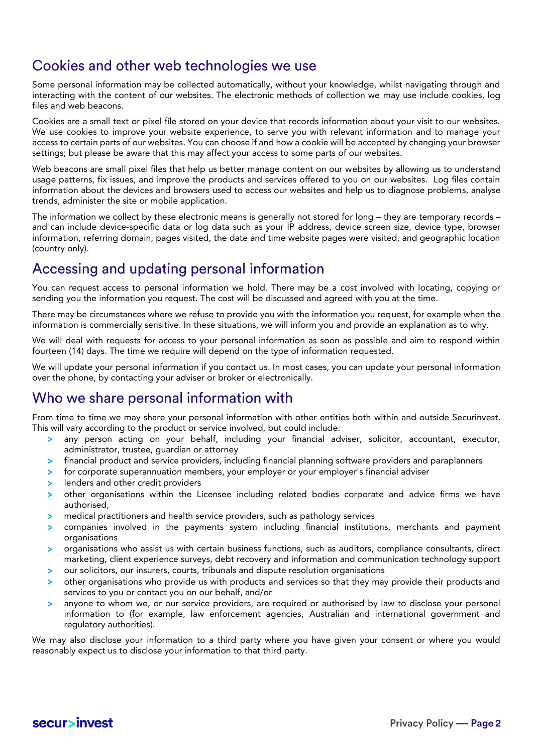Some personal information may be collected automatically, without your knowledge, whilst navigating through and<br>interacting with the content of our websites. The electronic methods of collection we may use include cookies, files and web beacons. files and web beacons.

Cookies are a small text or pixel file stored on your device that records information about your visit to our websites.<br>We use cookies to improve your website experience, to serve you with relevant information and to manag access to certain parts of our websites. You can choose if and how a cookie will be accepted by changing your browser settings; but please be aware that this may affect your access to some parts of our websites. settings; but please be aware that this may affect your access to some parts of our websites.

Web beacons are small pixel files that help us better manage content on our websites by allowing us to understand<br>usage patterns, fix issues, and improve the products and services offered to you on our websites. Log files information about the devices and browsers used to access our websites and help us to diagnose problems, analyse  $i$  the devices about the devices and browsers used to access our website and help used to diagnose problems, analyse trends, administer the site or mobile application.

The information we collect by these electronic means is generally not stored for long – they are temporary records –<br>and can include device-specific data or log data such as your IP address, device screen size, device type and can include device-specific data  $\frac{1}{2}$  data or log data such as your IP and  $\frac{1}{2}$  and  $\frac{1}{2}$  and  $\frac{1}{2}$  and  $\frac{1}{2}$  and  $\frac{1}{2}$  and  $\frac{1}{2}$  and  $\frac{1}{2}$  and  $\frac{1}{2}$  and  $\frac{1}{2}$  and  $\frac{1}{2}$  a information, referring domain, pages visited, the date and time website pages were visited, and geographic location (country only).

# Accessing and updating personal information

 $\frac{1}{2}$  sending you the information you request. The cost will be discussed and agreed with you at the time sending you the information you request. The cost will be discussed and agreed with you at the time.

There may be circumstances where we refuse to provide you with the information you request, for example when the information is commercially sensitive. In these situations, we will inform you and provide an explanation as

We will deal with requests for access to your personal information as soon as possible and aim to respond within fourteen (14) days. The time we require will depend on the type of information requested.

We will update your personal information if you contact us. In most cases, you can update your personal information over the phone, by contacting your adviser or broker or electronically. over the phone, by contacting your adviser or broker or electronically.

## Who we share personal information with

From time to time we may share your personal information with other entities both within and outside Securinvest.<br>This will vary according to the product or service involved, but could include:

- > any person acting on your behalf, including your financial adviser, solicitor, accountant, executor, administrator, trustee, quardian or attorney
- financial product and service providers, including financial planning software providers and paraplanners  $\geq$
- for corporate superannuation members, your employer or your employer's financial adviser  $\overline{\phantom{0}}$
- 
- enders and other creations and  $\overline{\phantom{0}}$  $\alpha$  other organisations with the Licensee including relations  $\alpha$  including relations we have  $\alpha$ authorised,<br>medical practitioners and health service providers, such as pathology services
- s
- medical providers is and health service providers, such as pathology services  $\alpha$  companies involved in the payments system including financial institutions, merchants and payments and payments and payments and payments and payments and payments and payments and payments and payments and payments
- organisations<br>organisations who assist us with certain business functions, such as auditors, compliance consultants, direct marketing, client experience surveys, debt recovery and information and communication technology support
- our solicitors, our insurers, courts, tribunals and dispute resolution organisations
- other organisations who provide us with products and services so that they may provide their products and  $\overline{\phantom{0}}$ services to you or contact you on our behalf, and/or
- anyone to whom we, or our service providers, are required or authorised by law to disclose your personal  $\overline{\phantom{0}}$ information to (for example, law enforcement agencies, Australian and international government and information to (for example, law enforcement agencies, Australian and international government and regulatory authorities).<br>We may also disclose your information to a third party where you have given your consent or where you would

 $\frac{1}{2}$  may also disclose your information to that third party  $\frac{1}{2}$  where  $\frac{1}{2}$  where  $\frac{1}{2}$  where  $\frac{1}{2}$  where  $\frac{1}{2}$  where  $\frac{1}{2}$  is the disclose your information to that third party reasonably expect us to disclose your information to that third party.

#### secur>invest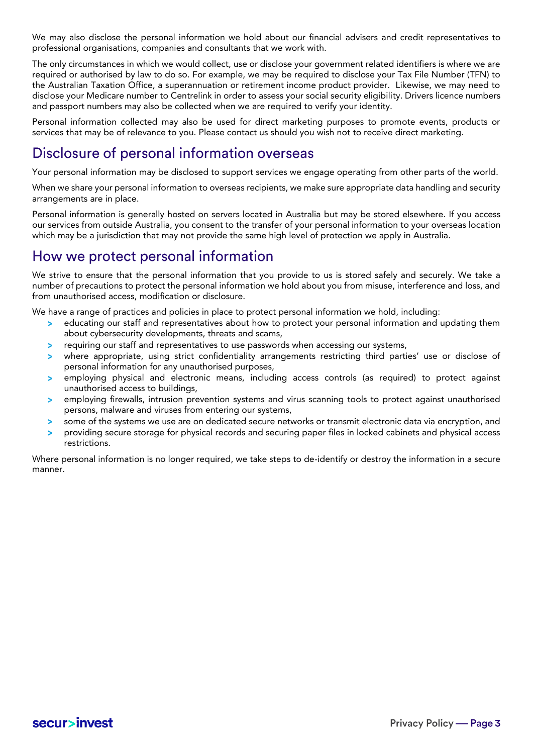We may also disclose the personal information we hold about our financial advisers and credit representatives to<br>professional organisations, companies and consultants that we work with.

The only circumstances in which we would collect, use or disclose your government related identifiers is where we are required or authorised by law to do so. For example, we may be required to disclose your Tax File Number (TFN) to the Australian Taxation Office, a superannuation or retirement income product provider. Likewise, we may need to disclose your Medicare number to Centrelink in order to assess your social security eligibility. Drivers licence numbers and passport numbers may also be collected when we are required to verify your identity.

Personal information collected may also be used for direct marketing purposes to promote events, products or  $P$ ersonal information collected may be used to vou. Please contact us should vou wish not to receive direct marketing purposes to  $p_0$ services that may be of relevance to you. Please contact us should you wish not to receive direct marketing.

#### Disclosure of personal information overseas

Your personal information may be disclosed to support services we engage operating from other parts of the world. When we share your personal information to overseas recipients, we make sure appropriate data handling and security<br>arrangements are in place.

Personal information is generally hosted on servers located in Australia but may be stored elsewhere. If you access our services from outside Australia, you consent to the transfer of your personal information to your overseas location which may be a jurisdiction that may not provide the same bigh level of protection we apply in Australia which may be a jurisdiction that may not provide the same high level of protection we apply in Australia.

#### How we protect personal information

We strive to ensure that the personal information that you provide to us is stored safely and securely. We take a<br>number of precautions to protect the personal information we hold about you from misuse, interference and lo from unauthorised access, modification or disclosure.

We have a range of practices and policies in place to protect personal information we hold, including:

- > educating our staff and representatives about how to protect your personal information and updating them about cybersecurity developments, threats and scams,
- requiring our staff and representatives to use passwords when accessing our systems, S
- where appropriate, using strict confidentiality arrangements restricting third parties' use or disclose of Ы personal information for any unauthorised purposes,
- employing physical and electronic means, including access controls (as required) to protect against S unauthorised access to buildings,
- employing firewalls, intrusion prevention systems and virus scanning tools to protect against unauthorised  $\overline{\phantom{0}}$ persons, malware and viruses from entering our systems,
- some of the systems we use are on dedicated secure networks or transmit electronic data via encryption, and  $\overline{ }$
- providing secure starses for physical records and securing paper files in locked cabinets and physical access providing secure storage for physical records and securing paper files in local access and physical access restrictions.

 $M_{\rm F}$  information is no longer required, we take steps to define  $\frac{1}{2}$  or defined in a secure in a secure in a secure in a secure in a secure in a secure in a secure in a secure in a secure in a secure in a secure manner.